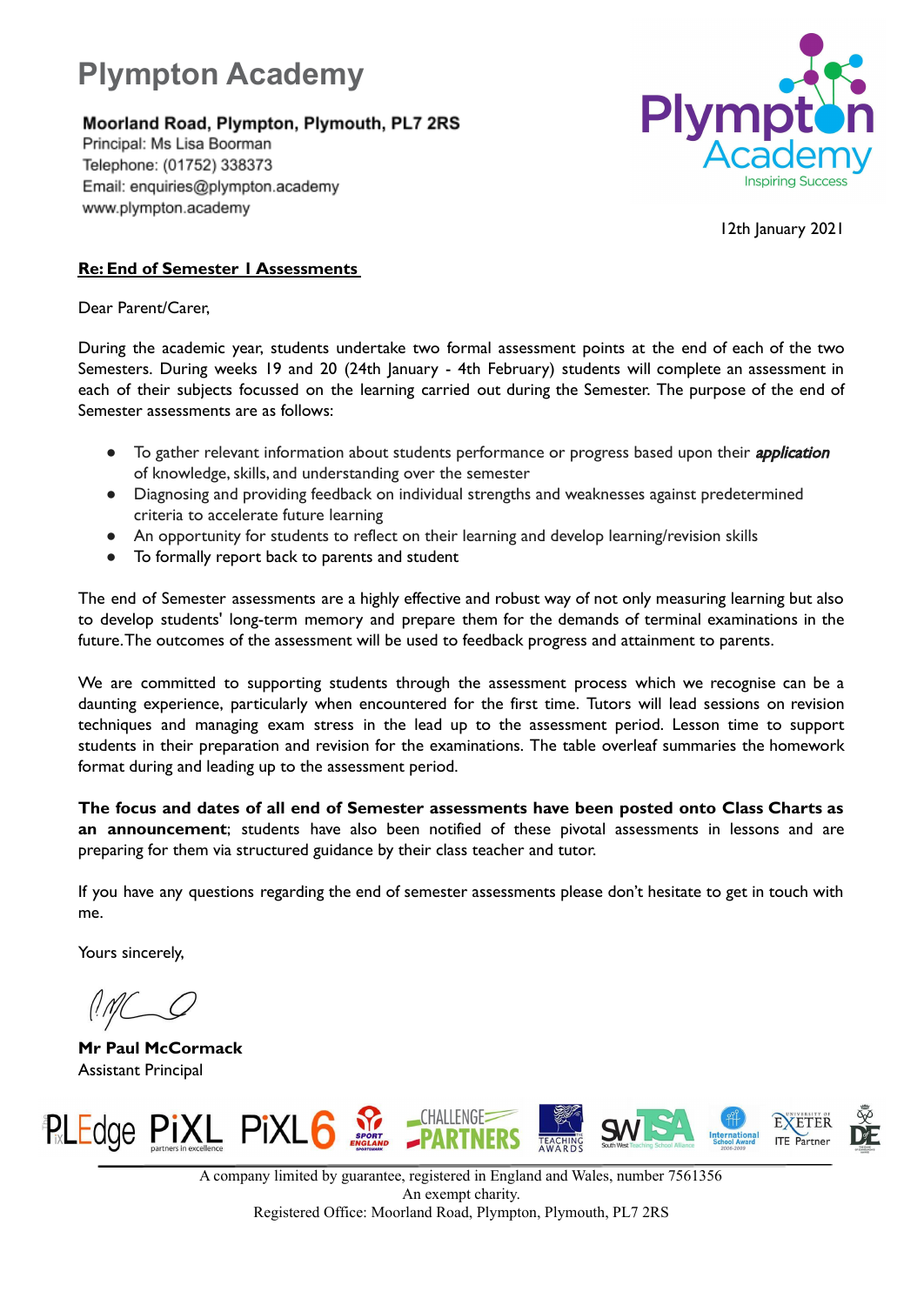

Moorland Road, Plympton, Plymouth, PL7 2RS

Principal: Ms Lisa Boorman Telephone: (01752) 338373 Email: enquiries@plympton.academy www.plympton.academy



12th January 2021

## **Re: End of Semester 1 Assessments**

Dear Parent/Carer,

During the academic year, students undertake two formal assessment points at the end of each of the two Semesters. During weeks 19 and 20 (24th January - 4th February) students will complete an assessment in each of their subjects focussed on the learning carried out during the Semester. The purpose of the end of Semester assessments are as follows:

- To gather relevant information about students performance or progress based upon their *application* of knowledge, skills, and understanding over the semester
- Diagnosing and providing feedback on individual strengths and weaknesses against predetermined criteria to accelerate future learning
- An opportunity for students to reflect on their learning and develop learning/revision skills
- To formally report back to parents and student

The end of Semester assessments are a highly effective and robust way of not only measuring learning but also to develop students' long-term memory and prepare them for the demands of terminal examinations in the future.The outcomes of the assessment will be used to feedback progress and attainment to parents.

We are committed to supporting students through the assessment process which we recognise can be a daunting experience, particularly when encountered for the first time. Tutors will lead sessions on revision techniques and managing exam stress in the lead up to the assessment period. Lesson time to support students in their preparation and revision for the examinations. The table overleaf summaries the homework format during and leading up to the assessment period.

**The focus and dates of all end of Semester assessments have been posted onto Class Charts as an announcement**; students have also been notified of these pivotal assessments in lessons and are preparing for them via structured guidance by their class teacher and tutor.

If you have any questions regarding the end of semester assessments please don't hesitate to get in touch with me.

Yours sincerely,

**Mr Paul McCormack** Assistant Principal



A company limited by guarantee, registered in England and Wales, number 7561356 An exempt charity. Registered Office: Moorland Road, Plympton, Plymouth, PL7 2RS